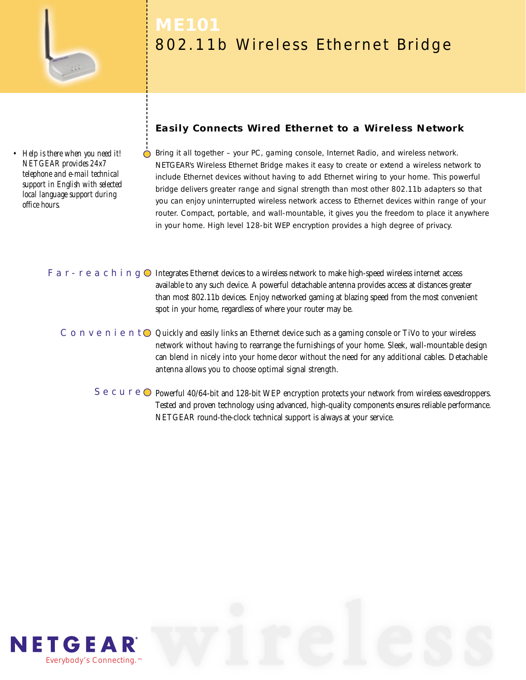

*• Help is there when you need it! NETGEAR provides 24x7 telephone and e-mail technical support in English with selected local language support during office hours.*

# 802.11b Wireless Ethernet Bridge

# **Easily Connects Wired Ethernet to a Wireless Network**

Bring it all together – your PC, gaming console, Internet Radio, and wireless network. NETGEAR's Wireless Ethernet Bridge makes it easy to create or extend a wireless network to include Ethernet devices without having to add Ethernet wiring to your home. This powerful bridge delivers greater range and signal strength than most other 802.11b adapters so that you can enjoy uninterrupted wireless network access to Ethernet devices within range of your router. Compact, portable, and wall-mountable, it gives you the freedom to place it anywhere in your home. High level 128-bit WEP encryption provides a high degree of privacy.

### F a r - r e a c h i n g  $\odot$  Integrates Ethernet devices to a wireless network to make high-speed wireless internet access available to any such device. A powerful detachable antenna provides access at distances greater than most 802.11b devices. Enjoy networked gaming at blazing speed from the most convenient spot in your home, regardless of where your router may be.

# C  $\circ$  n  $\vee$  e n i e n t  $\circ$  Quickly and easily links an Ethernet device such as a gaming console or TiVo to your wireless network without having to rearrange the furnishings of your home. Sleek, wall-mountable design can blend in nicely into your home decor without the need for any additional cables. Detachable antenna allows you to choose optimal signal strength.

S e c u r e  $\bigcirc$  Powerful 40/64-bit and 128-bit WEP encryption protects your network from wireless eavesdroppers. Tested and proven technology using advanced, high-quality components ensures reliable performance. NETGEAR round-the-clock technical support is always at your service.